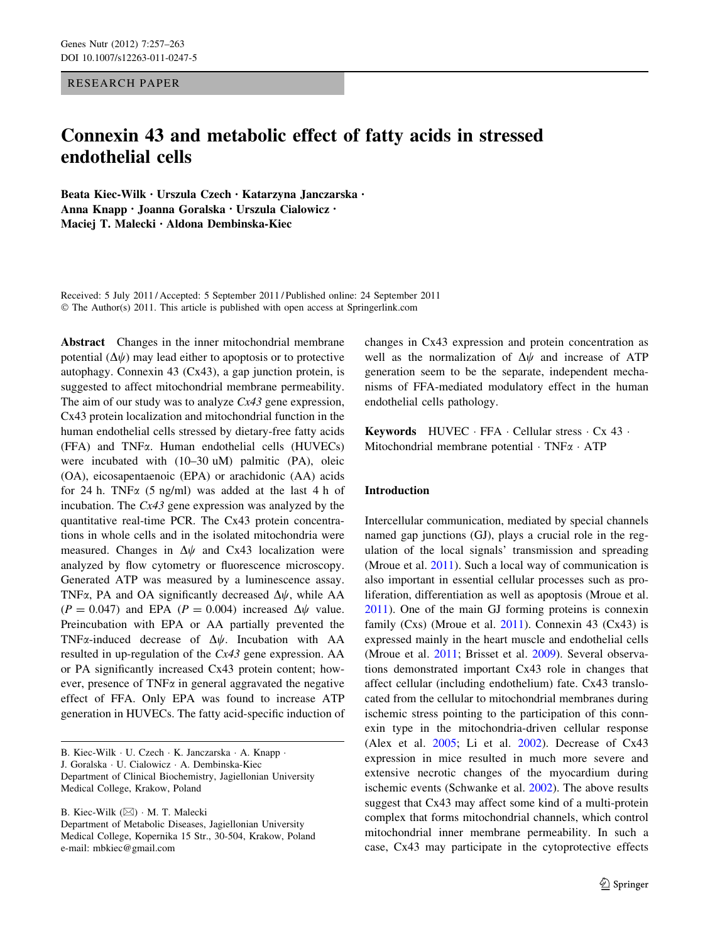RESEARCH PAPER

# Connexin 43 and metabolic effect of fatty acids in stressed endothelial cells

Beata Kiec-Wilk • Urszula Czech • Katarzyna Janczarska • Anna Knapp • Joanna Goralska • Urszula Cialowicz • Maciej T. Malecki • Aldona Dembinska-Kiec

Received: 5 July 2011 / Accepted: 5 September 2011 / Published online: 24 September 2011 © The Author(s) 2011. This article is published with open access at Springerlink.com

Abstract Changes in the inner mitochondrial membrane potential  $(\Delta \psi)$  may lead either to apoptosis or to protective autophagy. Connexin 43 (Cx43), a gap junction protein, is suggested to affect mitochondrial membrane permeability. The aim of our study was to analyze  $Cx43$  gene expression, Cx43 protein localization and mitochondrial function in the human endothelial cells stressed by dietary-free fatty acids (FFA) and TNFa. Human endothelial cells (HUVECs) were incubated with (10–30 uM) palmitic (PA), oleic (OA), eicosapentaenoic (EPA) or arachidonic (AA) acids for 24 h. TNF $\alpha$  (5 ng/ml) was added at the last 4 h of incubation. The Cx43 gene expression was analyzed by the quantitative real-time PCR. The Cx43 protein concentrations in whole cells and in the isolated mitochondria were measured. Changes in  $\Delta \psi$  and Cx43 localization were analyzed by flow cytometry or fluorescence microscopy. Generated ATP was measured by a luminescence assay. TNF $\alpha$ , PA and OA significantly decreased  $\Delta \psi$ , while AA  $(P = 0.047)$  and EPA  $(P = 0.004)$  increased  $\Delta \psi$  value. Preincubation with EPA or AA partially prevented the TNF $\alpha$ -induced decrease of  $\Delta \psi$ . Incubation with AA resulted in up-regulation of the Cx43 gene expression. AA or PA significantly increased Cx43 protein content; however, presence of  $TNF\alpha$  in general aggravated the negative effect of FFA. Only EPA was found to increase ATP generation in HUVECs. The fatty acid-specific induction of

B. Kiec-Wilk · U. Czech · K. Janczarska · A. Knapp · J. Goralska - U. Cialowicz - A. Dembinska-Kiec Department of Clinical Biochemistry, Jagiellonian University Medical College, Krakow, Poland

B. Kiec-Wilk (⊠) · M. T. Malecki Department of Metabolic Diseases, Jagiellonian University Medical College, Kopernika 15 Str., 30-504, Krakow, Poland e-mail: mbkiec@gmail.com

changes in Cx43 expression and protein concentration as well as the normalization of  $\Delta \psi$  and increase of ATP generation seem to be the separate, independent mechanisms of FFA-mediated modulatory effect in the human endothelial cells pathology.

Keywords HUVEC · FFA · Cellular stress · Cx 43 · Mitochondrial membrane potential  $\cdot$  TNF $\alpha$   $\cdot$  ATP

## Introduction

Intercellular communication, mediated by special channels named gap junctions (GJ), plays a crucial role in the regulation of the local signals' transmission and spreading (Mroue et al. [2011](#page-5-0)). Such a local way of communication is also important in essential cellular processes such as proliferation, differentiation as well as apoptosis (Mroue et al. [2011](#page-5-0)). One of the main GJ forming proteins is connexin family (Cxs) (Mroue et al.  $2011$ ). Connexin 43 (Cx43) is expressed mainly in the heart muscle and endothelial cells (Mroue et al. [2011](#page-5-0); Brisset et al. [2009\)](#page-5-0). Several observations demonstrated important Cx43 role in changes that affect cellular (including endothelium) fate. Cx43 translocated from the cellular to mitochondrial membranes during ischemic stress pointing to the participation of this connexin type in the mitochondria-driven cellular response (Alex et al. [2005](#page-5-0); Li et al. [2002\)](#page-5-0). Decrease of Cx43 expression in mice resulted in much more severe and extensive necrotic changes of the myocardium during ischemic events (Schwanke et al. [2002\)](#page-6-0). The above results suggest that Cx43 may affect some kind of a multi-protein complex that forms mitochondrial channels, which control mitochondrial inner membrane permeability. In such a case, Cx43 may participate in the cytoprotective effects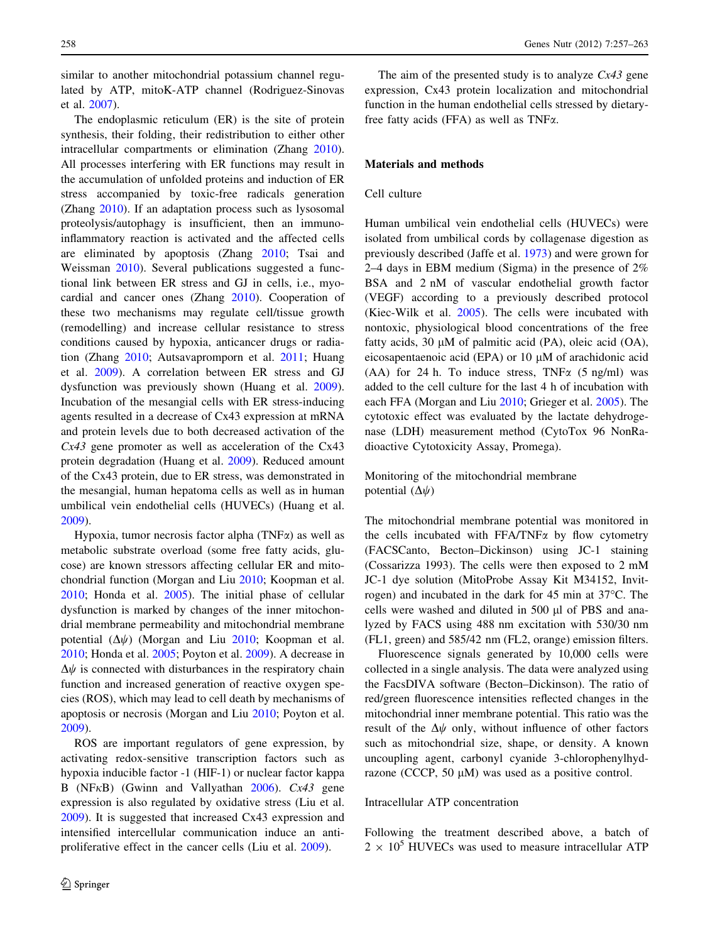similar to another mitochondrial potassium channel regulated by ATP, mitoK-ATP channel (Rodriguez-Sinovas et al. [2007\)](#page-6-0).

The endoplasmic reticulum (ER) is the site of protein synthesis, their folding, their redistribution to either other intracellular compartments or elimination (Zhang [2010](#page-6-0)). All processes interfering with ER functions may result in the accumulation of unfolded proteins and induction of ER stress accompanied by toxic-free radicals generation (Zhang [2010](#page-6-0)). If an adaptation process such as lysosomal proteolysis/autophagy is insufficient, then an immunoinflammatory reaction is activated and the affected cells are eliminated by apoptosis (Zhang [2010;](#page-6-0) Tsai and Weissman [2010](#page-6-0)). Several publications suggested a functional link between ER stress and GJ in cells, i.e., myocardial and cancer ones (Zhang [2010](#page-6-0)). Cooperation of these two mechanisms may regulate cell/tissue growth (remodelling) and increase cellular resistance to stress conditions caused by hypoxia, anticancer drugs or radiation (Zhang [2010;](#page-6-0) Autsavapromporn et al. [2011](#page-5-0); Huang et al. [2009](#page-5-0)). A correlation between ER stress and GJ dysfunction was previously shown (Huang et al. [2009](#page-5-0)). Incubation of the mesangial cells with ER stress-inducing agents resulted in a decrease of Cx43 expression at mRNA and protein levels due to both decreased activation of the Cx43 gene promoter as well as acceleration of the Cx43 protein degradation (Huang et al. [2009](#page-5-0)). Reduced amount of the Cx43 protein, due to ER stress, was demonstrated in the mesangial, human hepatoma cells as well as in human umbilical vein endothelial cells (HUVECs) (Huang et al. [2009\)](#page-5-0).

Hypoxia, tumor necrosis factor alpha (TNF $\alpha$ ) as well as metabolic substrate overload (some free fatty acids, glucose) are known stressors affecting cellular ER and mitochondrial function (Morgan and Liu [2010;](#page-5-0) Koopman et al. [2010;](#page-5-0) Honda et al. [2005\)](#page-5-0). The initial phase of cellular dysfunction is marked by changes of the inner mitochondrial membrane permeability and mitochondrial membrane potential  $(\Delta \psi)$  (Morgan and Liu [2010;](#page-5-0) Koopman et al. [2010;](#page-5-0) Honda et al. [2005;](#page-5-0) Poyton et al. [2009](#page-6-0)). A decrease in  $\Delta\psi$  is connected with disturbances in the respiratory chain function and increased generation of reactive oxygen species (ROS), which may lead to cell death by mechanisms of apoptosis or necrosis (Morgan and Liu [2010;](#page-5-0) Poyton et al. [2009\)](#page-6-0).

ROS are important regulators of gene expression, by activating redox-sensitive transcription factors such as hypoxia inducible factor -1 (HIF-1) or nuclear factor kappa B (NF $\kappa$ B) (Gwinn and Vallyathan [2006](#page-5-0)). Cx43 gene expression is also regulated by oxidative stress (Liu et al. [2009\)](#page-5-0). It is suggested that increased Cx43 expression and intensified intercellular communication induce an antiproliferative effect in the cancer cells (Liu et al. [2009](#page-5-0)).

The aim of the presented study is to analyze  $Cx43$  gene expression, Cx43 protein localization and mitochondrial function in the human endothelial cells stressed by dietaryfree fatty acids (FFA) as well as TNF $\alpha$ .

## Materials and methods

#### Cell culture

Human umbilical vein endothelial cells (HUVECs) were isolated from umbilical cords by collagenase digestion as previously described (Jaffe et al. [1973](#page-5-0)) and were grown for 2–4 days in EBM medium (Sigma) in the presence of 2% BSA and 2 nM of vascular endothelial growth factor (VEGF) according to a previously described protocol (Kiec-Wilk et al. [2005\)](#page-5-0). The cells were incubated with nontoxic, physiological blood concentrations of the free fatty acids,  $30 \mu M$  of palmitic acid (PA), oleic acid (OA), eicosapentaenoic acid (EPA) or 10  $\mu$ M of arachidonic acid (AA) for 24 h. To induce stress, TNF $\alpha$  (5 ng/ml) was added to the cell culture for the last 4 h of incubation with each FFA (Morgan and Liu [2010](#page-5-0); Grieger et al. [2005](#page-5-0)). The cytotoxic effect was evaluated by the lactate dehydrogenase (LDH) measurement method (CytoTox 96 NonRadioactive Cytotoxicity Assay, Promega).

Monitoring of the mitochondrial membrane potential  $(\Delta \psi)$ 

The mitochondrial membrane potential was monitored in the cells incubated with FFA/TNF $\alpha$  by flow cytometry (FACSCanto, Becton–Dickinson) using JC-1 staining (Cossarizza 1993). The cells were then exposed to 2 mM JC-1 dye solution (MitoProbe Assay Kit M34152, Invitrogen) and incubated in the dark for  $45$  min at  $37^{\circ}$ C. The cells were washed and diluted in 500  $\mu$ l of PBS and analyzed by FACS using 488 nm excitation with 530/30 nm (FL1, green) and 585/42 nm (FL2, orange) emission filters.

Fluorescence signals generated by 10,000 cells were collected in a single analysis. The data were analyzed using the FacsDIVA software (Becton–Dickinson). The ratio of red/green fluorescence intensities reflected changes in the mitochondrial inner membrane potential. This ratio was the result of the  $\Delta\psi$  only, without influence of other factors such as mitochondrial size, shape, or density. A known uncoupling agent, carbonyl cyanide 3-chlorophenylhydrazone (CCCP, 50  $\mu$ M) was used as a positive control.

### Intracellular ATP concentration

Following the treatment described above, a batch of  $2 \times 10^5$  HUVECs was used to measure intracellular ATP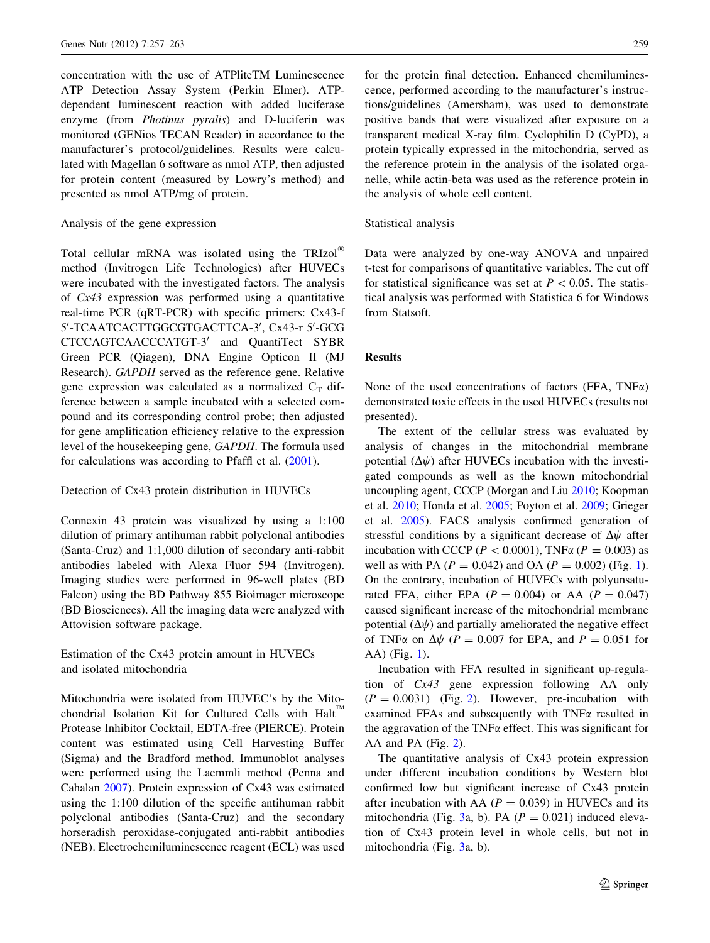concentration with the use of ATPliteTM Luminescence ATP Detection Assay System (Perkin Elmer). ATPdependent luminescent reaction with added luciferase enzyme (from Photinus pyralis) and D-luciferin was monitored (GENios TECAN Reader) in accordance to the manufacturer's protocol/guidelines. Results were calculated with Magellan 6 software as nmol ATP, then adjusted for protein content (measured by Lowry's method) and presented as nmol ATP/mg of protein.

## Analysis of the gene expression

Total cellular mRNA was isolated using the TRIzol<sup>®</sup> method (Invitrogen Life Technologies) after HUVECs were incubated with the investigated factors. The analysis of Cx43 expression was performed using a quantitative real-time PCR (qRT-PCR) with specific primers: Cx43-f 5'-TCAATCACTTGGCGTGACTTCA-3', Cx43-r 5'-GCG CTCCAGTCAACCCATGT-3' and QuantiTect SYBR Green PCR (Qiagen), DNA Engine Opticon II (MJ Research). GAPDH served as the reference gene. Relative gene expression was calculated as a normalized  $C_T$  difference between a sample incubated with a selected compound and its corresponding control probe; then adjusted for gene amplification efficiency relative to the expression level of the housekeeping gene, GAPDH. The formula used for calculations was according to Pfaffl et al. [\(2001](#page-6-0)).

#### Detection of Cx43 protein distribution in HUVECs

Connexin 43 protein was visualized by using a 1:100 dilution of primary antihuman rabbit polyclonal antibodies (Santa-Cruz) and 1:1,000 dilution of secondary anti-rabbit antibodies labeled with Alexa Fluor 594 (Invitrogen). Imaging studies were performed in 96-well plates (BD Falcon) using the BD Pathway 855 Bioimager microscope (BD Biosciences). All the imaging data were analyzed with Attovision software package.

Estimation of the Cx43 protein amount in HUVECs and isolated mitochondria

Mitochondria were isolated from HUVEC's by the Mitochondrial Isolation Kit for Cultured Cells with Halt" Protease Inhibitor Cocktail, EDTA-free (PIERCE). Protein content was estimated using Cell Harvesting Buffer (Sigma) and the Bradford method. Immunoblot analyses were performed using the Laemmli method (Penna and Cahalan [2007](#page-6-0)). Protein expression of Cx43 was estimated using the 1:100 dilution of the specific antihuman rabbit polyclonal antibodies (Santa-Cruz) and the secondary horseradish peroxidase-conjugated anti-rabbit antibodies (NEB). Electrochemiluminescence reagent (ECL) was used for the protein final detection. Enhanced chemiluminescence, performed according to the manufacturer's instructions/guidelines (Amersham), was used to demonstrate positive bands that were visualized after exposure on a transparent medical X-ray film. Cyclophilin D (CyPD), a protein typically expressed in the mitochondria, served as the reference protein in the analysis of the isolated organelle, while actin-beta was used as the reference protein in the analysis of whole cell content.

#### Statistical analysis

Data were analyzed by one-way ANOVA and unpaired t-test for comparisons of quantitative variables. The cut off for statistical significance was set at  $P < 0.05$ . The statistical analysis was performed with Statistica 6 for Windows from Statsoft.

#### Results

None of the used concentrations of factors (FFA,  $TNF\alpha$ ) demonstrated toxic effects in the used HUVECs (results not presented).

The extent of the cellular stress was evaluated by analysis of changes in the mitochondrial membrane potential  $(\Delta \psi)$  after HUVECs incubation with the investigated compounds as well as the known mitochondrial uncoupling agent, CCCP (Morgan and Liu [2010](#page-5-0); Koopman et al. [2010](#page-5-0); Honda et al. [2005;](#page-5-0) Poyton et al. [2009;](#page-6-0) Grieger et al. [2005\)](#page-5-0). FACS analysis confirmed generation of stressful conditions by a significant decrease of  $\Delta\psi$  after incubation with CCCP ( $P < 0.0001$ ), TNF $\alpha$  ( $P = 0.003$ ) as well as with PA ( $P = 0.042$ ) and OA ( $P = 0.002$ ) (Fig. [1](#page-3-0)). On the contrary, incubation of HUVECs with polyunsaturated FFA, either EPA ( $P = 0.004$ ) or AA ( $P = 0.047$ ) caused significant increase of the mitochondrial membrane potential  $(\Delta \psi)$  and partially ameliorated the negative effect of TNF $\alpha$  on  $\Delta\psi$  (P = 0.007 for EPA, and P = 0.051 for AA) (Fig. [1\)](#page-3-0).

Incubation with FFA resulted in significant up-regulation of Cx43 gene expression following AA only  $(P = 0.0031)$  (Fig. [2\)](#page-3-0). However, pre-incubation with examined FFAs and subsequently with  $TNF\alpha$  resulted in the aggravation of the TNF $\alpha$  effect. This was significant for AA and PA (Fig. [2](#page-3-0)).

The quantitative analysis of Cx43 protein expression under different incubation conditions by Western blot confirmed low but significant increase of Cx43 protein after incubation with AA ( $P = 0.039$ ) in HUVECs and its mitochondria (Fig. [3a](#page-4-0), b). PA ( $P = 0.021$ ) induced elevation of Cx43 protein level in whole cells, but not in mitochondria (Fig. [3](#page-4-0)a, b).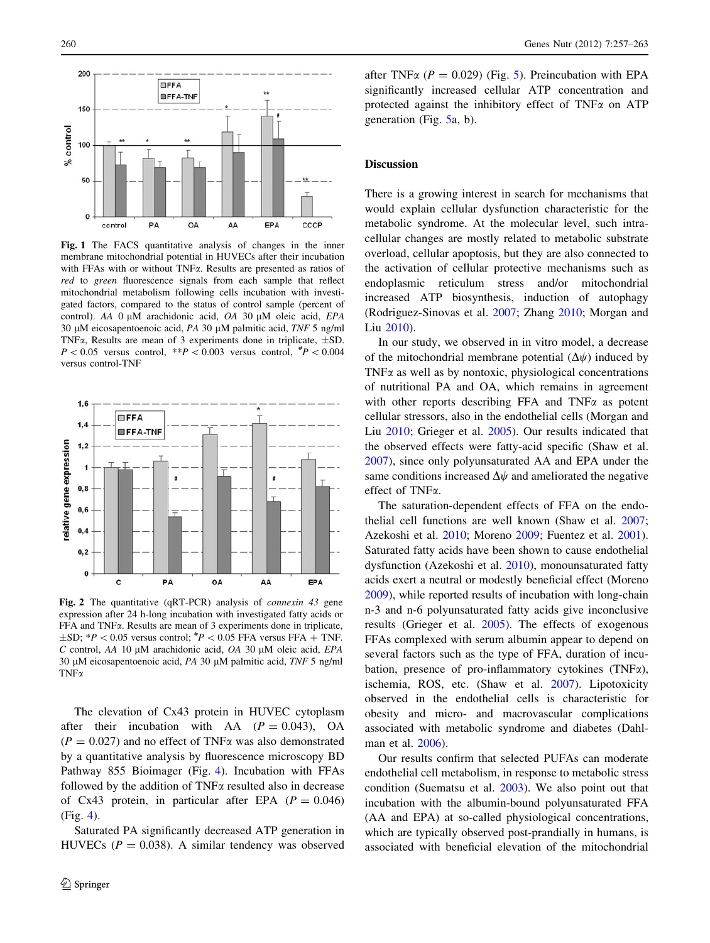<span id="page-3-0"></span>

Fig. 1 The FACS quantitative analysis of changes in the inner membrane mitochondrial potential in HUVECs after their incubation with FFAs with or without TNF $\alpha$ . Results are presented as ratios of red to green fluorescence signals from each sample that reflect mitochondrial metabolism following cells incubation with investigated factors, compared to the status of control sample (percent of control). AA 0 µM arachidonic acid, OA 30 µM oleic acid, EPA 30 μM eicosapentoenoic acid, PA 30 μM palmitic acid, TNF 5 ng/ml TNF $\alpha$ , Results are mean of 3 experiments done in triplicate,  $\pm$ SD.  $P < 0.05$  versus control, \*\*P $< 0.003$  versus control,  $^{#}P < 0.004$ versus control-TNF



Fig. 2 The quantitative (qRT-PCR) analysis of connexin 43 gene expression after 24 h-long incubation with investigated fatty acids or FFA and TNFa. Results are mean of 3 experiments done in triplicate,  $\pm$ SD;  $*P < 0.05$  versus control;  $*P < 0.05$  FFA versus FFA + TNF.  $C$  control, AA 10 µM arachidonic acid,  $OA$  30 µM oleic acid,  $EPA$ 30 µM eicosapentoenoic acid, PA 30 µM palmitic acid, TNF 5 ng/ml TN<sub>Fα</sub>

The elevation of Cx43 protein in HUVEC cytoplasm after their incubation with AA  $(P = 0.043)$ , OA  $(P = 0.027)$  and no effect of TNF $\alpha$  was also demonstrated by a quantitative analysis by fluorescence microscopy BD Pathway 855 Bioimager (Fig. [4](#page-4-0)). Incubation with FFAs followed by the addition of  $TNF\alpha$  resulted also in decrease of Cx43 protein, in particular after EPA ( $P = 0.046$ ) (Fig. [4](#page-4-0)).

Saturated PA significantly decreased ATP generation in HUVECs ( $P = 0.038$ ). A similar tendency was observed

after TNF $\alpha$  ( $P = 0.029$ ) (Fig. [5\)](#page-4-0). Preincubation with EPA significantly increased cellular ATP concentration and protected against the inhibitory effect of  $TNFx$  on  $ATP$ generation (Fig. [5](#page-4-0)a, b).

## **Discussion**

There is a growing interest in search for mechanisms that would explain cellular dysfunction characteristic for the metabolic syndrome. At the molecular level, such intracellular changes are mostly related to metabolic substrate overload, cellular apoptosis, but they are also connected to the activation of cellular protective mechanisms such as endoplasmic reticulum stress and/or mitochondrial increased ATP biosynthesis, induction of autophagy (Rodriguez-Sinovas et al. [2007](#page-6-0); Zhang [2010;](#page-6-0) Morgan and Liu [2010](#page-5-0)).

In our study, we observed in in vitro model, a decrease of the mitochondrial membrane potential  $(\Delta \psi)$  induced by TNF $\alpha$  as well as by nontoxic, physiological concentrations of nutritional PA and OA, which remains in agreement with other reports describing FFA and TNF $\alpha$  as potent cellular stressors, also in the endothelial cells (Morgan and Liu [2010;](#page-5-0) Grieger et al. [2005\)](#page-5-0). Our results indicated that the observed effects were fatty-acid specific (Shaw et al. [2007](#page-6-0)), since only polyunsaturated AA and EPA under the same conditions increased  $\Delta\psi$  and ameliorated the negative effect of TNFa.

The saturation-dependent effects of FFA on the endothelial cell functions are well known (Shaw et al. [2007](#page-6-0); Azekoshi et al. [2010](#page-5-0); Moreno [2009;](#page-5-0) Fuentez et al. [2001](#page-5-0)). Saturated fatty acids have been shown to cause endothelial dysfunction (Azekoshi et al. [2010\)](#page-5-0), monounsaturated fatty acids exert a neutral or modestly beneficial effect (Moreno [2009](#page-5-0)), while reported results of incubation with long-chain n-3 and n-6 polyunsaturated fatty acids give inconclusive results (Grieger et al. [2005](#page-5-0)). The effects of exogenous FFAs complexed with serum albumin appear to depend on several factors such as the type of FFA, duration of incubation, presence of pro-inflammatory cytokines (TNFa), ischemia, ROS, etc. (Shaw et al. [2007](#page-6-0)). Lipotoxicity observed in the endothelial cells is characteristic for obesity and micro- and macrovascular complications associated with metabolic syndrome and diabetes (Dahlman et al. [2006](#page-5-0)).

Our results confirm that selected PUFAs can moderate endothelial cell metabolism, in response to metabolic stress condition (Suematsu et al. [2003\)](#page-6-0). We also point out that incubation with the albumin-bound polyunsaturated FFA (AA and EPA) at so-called physiological concentrations, which are typically observed post-prandially in humans, is associated with beneficial elevation of the mitochondrial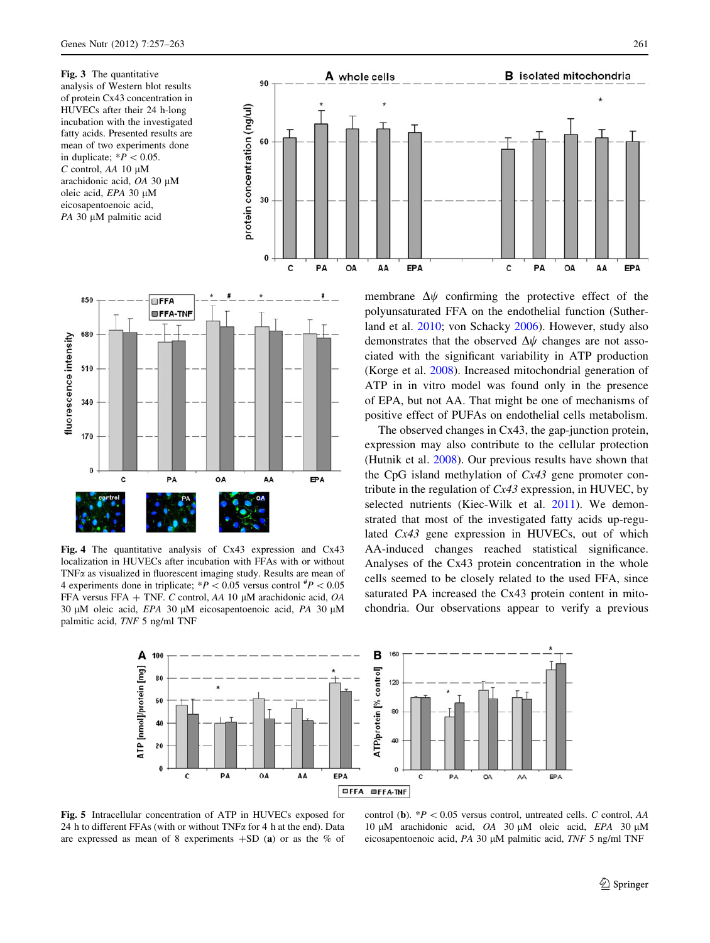<span id="page-4-0"></span>Fig. 3 The quantitative analysis of Western blot results of protein Cx43 concentration in HUVECs after their 24 h-long incubation with the investigated fatty acids. Presented results are mean of two experiments done in duplicate;  $*P < 0.05$ .  $C$  control, AA 10  $\mu$ M arachidonic acid, OA 30 µM oleic acid, EPA 30 µM eicosapentoenoic acid,  $PA$  30  $\mu$ M palmitic acid





Fig. 4 The quantitative analysis of Cx43 expression and Cx43 localization in HUVECs after incubation with FFAs with or without  $TNF\alpha$  as visualized in fluorescent imaging study. Results are mean of 4 experiments done in triplicate;  $*P < 0.05$  versus control  $*P < 0.05$ FFA versus FFA + TNF. C control, AA 10  $\mu$ M arachidonic acid, OA 30  $\mu$ M oleic acid, *EPA* 30  $\mu$ M eicosapentoenoic acid, *PA* 30  $\mu$ M palmitic acid, TNF 5 ng/ml TNF

membrane  $\Delta \psi$  confirming the protective effect of the polyunsaturated FFA on the endothelial function (Sutherland et al. [2010](#page-6-0); von Schacky [2006\)](#page-6-0). However, study also demonstrates that the observed  $\Delta\psi$  changes are not associated with the significant variability in ATP production (Korge et al. [2008\)](#page-5-0). Increased mitochondrial generation of ATP in in vitro model was found only in the presence of EPA, but not AA. That might be one of mechanisms of positive effect of PUFAs on endothelial cells metabolism.

The observed changes in Cx43, the gap-junction protein, expression may also contribute to the cellular protection (Hutnik et al. [2008\)](#page-5-0). Our previous results have shown that the CpG island methylation of Cx43 gene promoter contribute in the regulation of  $Cx43$  expression, in HUVEC, by selected nutrients (Kiec-Wilk et al. [2011](#page-5-0)). We demonstrated that most of the investigated fatty acids up-regulated Cx43 gene expression in HUVECs, out of which AA-induced changes reached statistical significance. Analyses of the Cx43 protein concentration in the whole cells seemed to be closely related to the used FFA, since saturated PA increased the Cx43 protein content in mitochondria. Our observations appear to verify a previous



Fig. 5 Intracellular concentration of ATP in HUVECs exposed for 24 h to different FFAs (with or without TNF $\alpha$  for 4 h at the end). Data are expressed as mean of 8 experiments  $+SD$  (a) or as the % of

control (b).  $*P < 0.05$  versus control, untreated cells. C control, AA 10  $\mu$ M arachidonic acid, OA 30  $\mu$ M oleic acid, EPA 30  $\mu$ M eicosapentoenoic acid, PA 30 µM palmitic acid, TNF 5 ng/ml TNF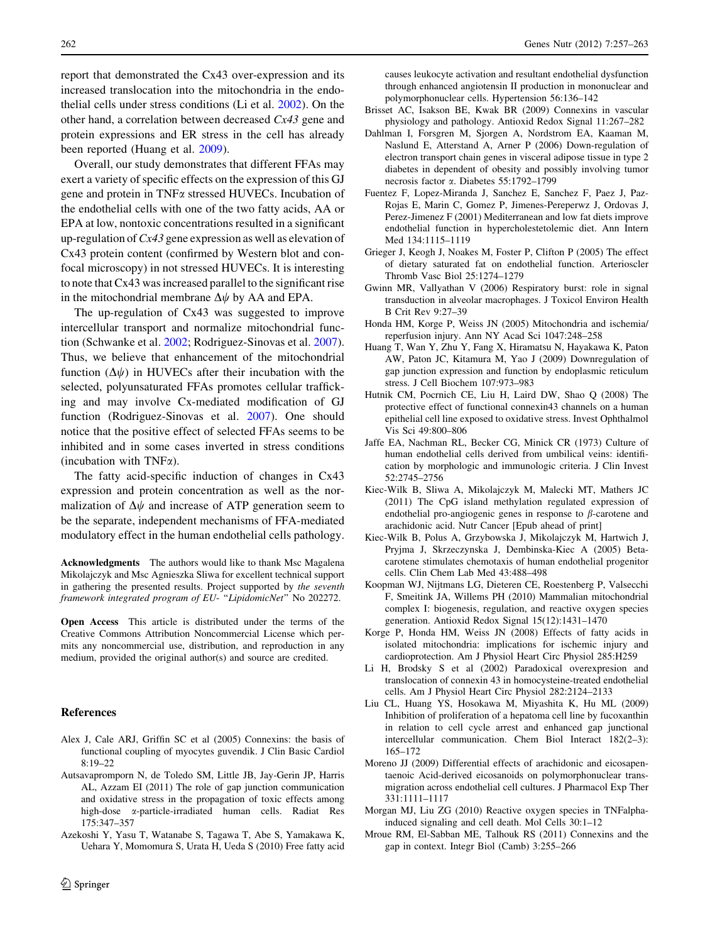<span id="page-5-0"></span>report that demonstrated the Cx43 over-expression and its increased translocation into the mitochondria in the endothelial cells under stress conditions (Li et al. 2002). On the other hand, a correlation between decreased Cx43 gene and protein expressions and ER stress in the cell has already been reported (Huang et al. 2009).

Overall, our study demonstrates that different FFAs may exert a variety of specific effects on the expression of this GJ gene and protein in TNFa stressed HUVECs. Incubation of the endothelial cells with one of the two fatty acids, AA or EPA at low, nontoxic concentrations resulted in a significant up-regulation of  $Cx43$  gene expression as well as elevation of Cx43 protein content (confirmed by Western blot and confocal microscopy) in not stressed HUVECs. It is interesting to note that Cx43 was increased parallel to the significant rise in the mitochondrial membrane  $\Delta \psi$  by AA and EPA.

The up-regulation of Cx43 was suggested to improve intercellular transport and normalize mitochondrial function (Schwanke et al. [2002](#page-6-0); Rodriguez-Sinovas et al. [2007](#page-6-0)). Thus, we believe that enhancement of the mitochondrial function  $(\Delta \psi)$  in HUVECs after their incubation with the selected, polyunsaturated FFAs promotes cellular trafficking and may involve Cx-mediated modification of GJ function (Rodriguez-Sinovas et al. [2007](#page-6-0)). One should notice that the positive effect of selected FFAs seems to be inhibited and in some cases inverted in stress conditions (incubation with  $TNF\alpha$ ).

The fatty acid-specific induction of changes in Cx43 expression and protein concentration as well as the normalization of  $\Delta\psi$  and increase of ATP generation seem to be the separate, independent mechanisms of FFA-mediated modulatory effect in the human endothelial cells pathology.

Acknowledgments The authors would like to thank Msc Magalena Mikolajczyk and Msc Agnieszka Sliwa for excellent technical support in gathering the presented results. Project supported by the seventh framework integrated program of EU- "LipidomicNet" No 202272.

Open Access This article is distributed under the terms of the Creative Commons Attribution Noncommercial License which permits any noncommercial use, distribution, and reproduction in any medium, provided the original author(s) and source are credited.

#### References

- Alex J, Cale ARJ, Griffin SC et al (2005) Connexins: the basis of functional coupling of myocytes guvendik. J Clin Basic Cardiol 8:19–22
- Autsavapromporn N, de Toledo SM, Little JB, Jay-Gerin JP, Harris AL, Azzam EI (2011) The role of gap junction communication and oxidative stress in the propagation of toxic effects among high-dose a-particle-irradiated human cells. Radiat Res 175:347–357
- Azekoshi Y, Yasu T, Watanabe S, Tagawa T, Abe S, Yamakawa K, Uehara Y, Momomura S, Urata H, Ueda S (2010) Free fatty acid

causes leukocyte activation and resultant endothelial dysfunction through enhanced angiotensin II production in mononuclear and polymorphonuclear cells. Hypertension 56:136–142

- Brisset AC, Isakson BE, Kwak BR (2009) Connexins in vascular physiology and pathology. Antioxid Redox Signal 11:267–282
- Dahlman I, Forsgren M, Sjorgen A, Nordstrom EA, Kaaman M, Naslund E, Atterstand A, Arner P (2006) Down-regulation of electron transport chain genes in visceral adipose tissue in type 2 diabetes in dependent of obesity and possibly involving tumor necrosis factor a. Diabetes 55:1792–1799
- Fuentez F, Lopez-Miranda J, Sanchez E, Sanchez F, Paez J, Paz-Rojas E, Marin C, Gomez P, Jimenes-Pereperwz J, Ordovas J, Perez-Jimenez F (2001) Mediterranean and low fat diets improve endothelial function in hypercholestetolemic diet. Ann Intern Med 134:1115–1119
- Grieger J, Keogh J, Noakes M, Foster P, Clifton P (2005) The effect of dietary saturated fat on endothelial function. Arterioscler Thromb Vasc Biol 25:1274–1279
- Gwinn MR, Vallyathan V (2006) Respiratory burst: role in signal transduction in alveolar macrophages. J Toxicol Environ Health B Crit Rev 9:27–39
- Honda HM, Korge P, Weiss JN (2005) Mitochondria and ischemia/ reperfusion injury. Ann NY Acad Sci 1047:248–258
- Huang T, Wan Y, Zhu Y, Fang X, Hiramatsu N, Hayakawa K, Paton AW, Paton JC, Kitamura M, Yao J (2009) Downregulation of gap junction expression and function by endoplasmic reticulum stress. J Cell Biochem 107:973–983
- Hutnik CM, Pocrnich CE, Liu H, Laird DW, Shao Q (2008) The protective effect of functional connexin43 channels on a human epithelial cell line exposed to oxidative stress. Invest Ophthalmol Vis Sci 49:800–806
- Jaffe EA, Nachman RL, Becker CG, Minick CR (1973) Culture of human endothelial cells derived from umbilical veins: identification by morphologic and immunologic criteria. J Clin Invest 52:2745–2756
- Kiec-Wilk B, Sliwa A, Mikolajczyk M, Malecki MT, Mathers JC (2011) The CpG island methylation regulated expression of endothelial pro-angiogenic genes in response to  $\beta$ -carotene and arachidonic acid. Nutr Cancer [Epub ahead of print]
- Kiec-Wilk B, Polus A, Grzybowska J, Mikolajczyk M, Hartwich J, Pryjma J, Skrzeczynska J, Dembinska-Kiec A (2005) Betacarotene stimulates chemotaxis of human endothelial progenitor cells. Clin Chem Lab Med 43:488–498
- Koopman WJ, Nijtmans LG, Dieteren CE, Roestenberg P, Valsecchi F, Smeitink JA, Willems PH (2010) Mammalian mitochondrial complex I: biogenesis, regulation, and reactive oxygen species generation. Antioxid Redox Signal 15(12):1431–1470
- Korge P, Honda HM, Weiss JN (2008) Effects of fatty acids in isolated mitochondria: implications for ischemic injury and cardioprotection. Am J Physiol Heart Circ Physiol 285:H259
- Li H, Brodsky S et al (2002) Paradoxical overexpresion and translocation of connexin 43 in homocysteine-treated endothelial cells. Am J Physiol Heart Circ Physiol 282:2124–2133
- Liu CL, Huang YS, Hosokawa M, Miyashita K, Hu ML (2009) Inhibition of proliferation of a hepatoma cell line by fucoxanthin in relation to cell cycle arrest and enhanced gap junctional intercellular communication. Chem Biol Interact 182(2–3): 165–172
- Moreno JJ (2009) Differential effects of arachidonic and eicosapentaenoic Acid-derived eicosanoids on polymorphonuclear transmigration across endothelial cell cultures. J Pharmacol Exp Ther 331:1111–1117
- Morgan MJ, Liu ZG (2010) Reactive oxygen species in TNFalphainduced signaling and cell death. Mol Cells 30:1–12
- Mroue RM, El-Sabban ME, Talhouk RS (2011) Connexins and the gap in context. Integr Biol (Camb) 3:255–266